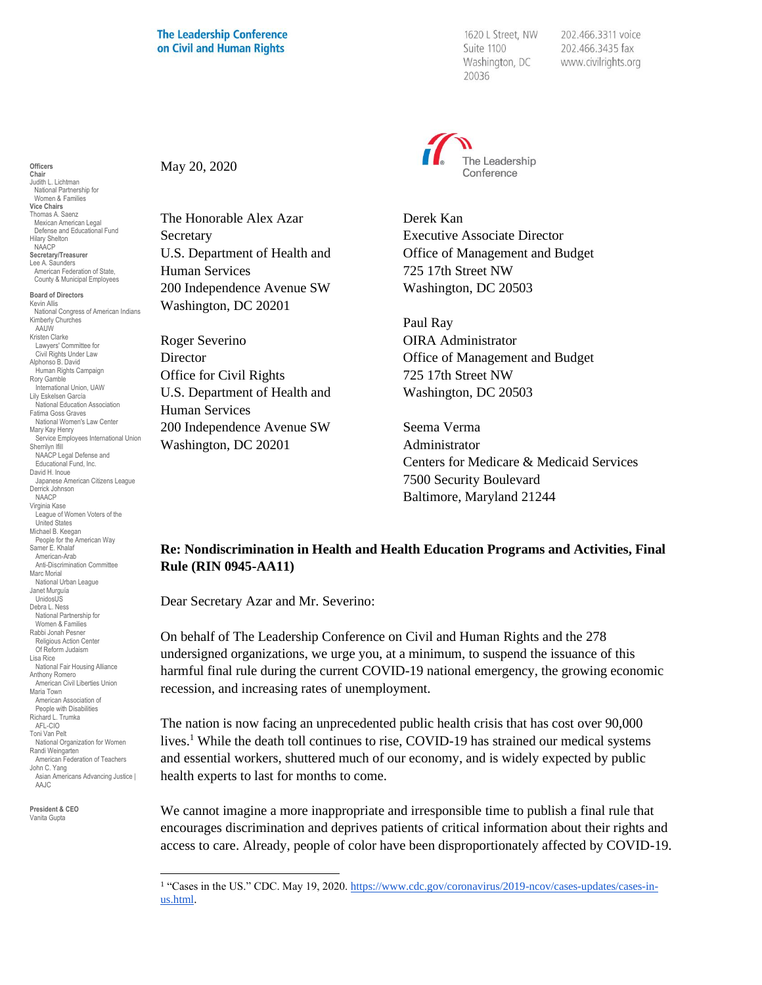## **The Leadership Conference** on Civil and Human Rights

1620 L Street, NW Suite 1100 Washington, DC 20036

202.466.3311 voice 202.466.3435 fax www.civilrights.org



Derek Kan Executive Associate Director Office of Management and Budget 725 17th Street NW Washington, DC 20503

Paul Ray OIRA Administrator Office of Management and Budget 725 17th Street NW Washington, DC 20503

Seema Verma Administrator Centers for Medicare & Medicaid Services 7500 Security Boulevard Baltimore, Maryland 21244

## **Re: Nondiscrimination in Health and Health Education Programs and Activities, Final Rule (RIN 0945-AA11)**

Dear Secretary Azar and Mr. Severino:

On behalf of The Leadership Conference on Civil and Human Rights and the 278 undersigned organizations, we urge you, at a minimum, to suspend the issuance of this harmful final rule during the current COVID-19 national emergency, the growing economic recession, and increasing rates of unemployment.

The nation is now facing an unprecedented public health crisis that has cost over 90,000 lives.<sup>1</sup> While the death toll continues to rise, COVID-19 has strained our medical systems and essential workers, shuttered much of our economy, and is widely expected by public health experts to last for months to come.

We cannot imagine a more inappropriate and irresponsible time to publish a final rule that encourages discrimination and deprives patients of critical information about their rights and access to care. Already, people of color have been disproportionately affected by COVID-19.

May 20, 2020

The Honorable Alex Azar **Secretary** U.S. Department of Health and Human Services 200 Independence Avenue SW Washington, DC 20201

Roger Severino **Director** Office for Civil Rights U.S. Department of Health and Human Services 200 Independence Avenue SW Washington, DC 20201

**Chair** Judith L. Lichtman National Partnership for Women & Families **Vice Chairs** Thomas A. Saenz Mexican American Legal Defense and Educational Fund Hilary Shelton NAACP **Secretary/Treasurer** Lee A. Saunders American Federation of State, County & Municipal Employees **Board of Directors** Kevin Allis

**Officers**

National Congress of American Indians Kimberly Churches AAUW Kristen Clarke Lawyers' Committee for Civil Rights Under Law Alphonso B. David Human Rights Campaign Rory Gamble International Union, UAW Lily Eskelsen García National Education Association Fatima Goss Graves National Women's Law Center Mary Kay Henry Service Employees International Union Sherrilyn Ifill NAACP Legal Defense and Educational Fund, Inc. David H. Inoue Japanese American Citizens League Derrick Johnson NAACP Virginia Kase League of Women Voters of the United States Michael B. Keegan People for the American Way Samer E. Khalaf American-Arab Anti-Discrimination Committee Marc Morial National Urban League Janet Murguía UnidosUS Debra L. Ness National Partnership for Women & Families Rabbi Jonah Pesner Religious Action Center Of Reform Judaism Lisa Rice National Fair Housing Alliance Anthony Romero American Civil Liberties Union Maria Town American Association of People with Disabilities Richard L. Trumka AFL-CIO Toni Van Pelt National Organization for Women Randi Weingarten American Federation of Teachers John C. Yang Asian Americans Advancing Justice I AAJC

**President & CEO** Vanita Gupta

<sup>&</sup>lt;sup>1</sup> "Cases in the US." CDC. May 19, 2020. [https://www.cdc.gov/coronavirus/2019-ncov/cases-updates/cases-in](https://www.cdc.gov/coronavirus/2019-ncov/cases-updates/cases-in-us.html)[us.html.](https://www.cdc.gov/coronavirus/2019-ncov/cases-updates/cases-in-us.html)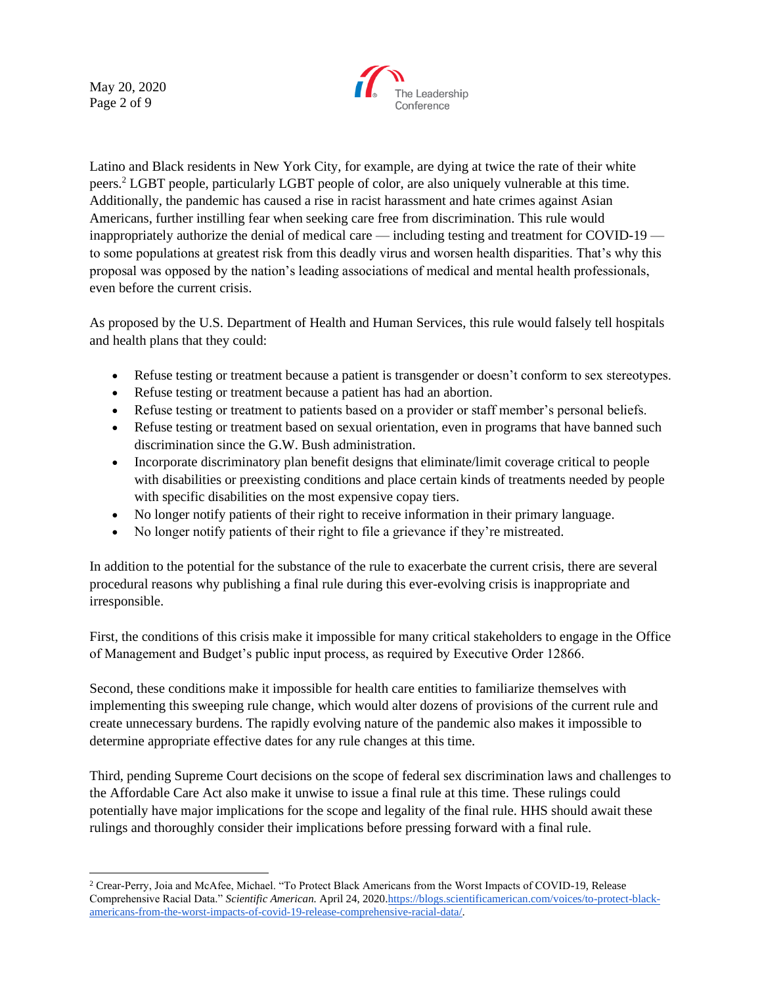May 20, 2020 Page 2 of 9



Latino and Black residents in New York City, for example, are dying at twice the rate of their white peers.<sup>2</sup> LGBT people, particularly LGBT people of color, are also uniquely vulnerable at this time. Additionally, the pandemic has caused a rise in racist harassment and hate crimes against Asian Americans, further instilling fear when seeking care free from discrimination. This rule would inappropriately authorize the denial of medical care — including testing and treatment for COVID-19 to some populations at greatest risk from this deadly virus and worsen health disparities. That's why this proposal was opposed by the nation's leading associations of medical and mental health professionals, even before the current crisis.

As proposed by the U.S. Department of Health and Human Services, this rule would falsely tell hospitals and health plans that they could:

- Refuse testing or treatment because a patient is transgender or doesn't conform to sex stereotypes.
- Refuse testing or treatment because a patient has had an abortion.
- Refuse testing or treatment to patients based on a provider or staff member's personal beliefs.
- Refuse testing or treatment based on sexual orientation, even in programs that have banned such discrimination since the G.W. Bush administration.
- Incorporate discriminatory plan benefit designs that eliminate/limit coverage critical to people with disabilities or preexisting conditions and place certain kinds of treatments needed by people with specific disabilities on the most expensive copay tiers.
- No longer notify patients of their right to receive information in their primary language.
- No longer notify patients of their right to file a grievance if they're mistreated.

In addition to the potential for the substance of the rule to exacerbate the current crisis, there are several procedural reasons why publishing a final rule during this ever-evolving crisis is inappropriate and irresponsible.

First, the conditions of this crisis make it impossible for many critical stakeholders to engage in the Office of Management and Budget's public input process, as required by Executive Order 12866.

Second, these conditions make it impossible for health care entities to familiarize themselves with implementing this sweeping rule change, which would alter dozens of provisions of the current rule and create unnecessary burdens. The rapidly evolving nature of the pandemic also makes it impossible to determine appropriate effective dates for any rule changes at this time.

Third, pending Supreme Court decisions on the scope of federal sex discrimination laws and challenges to the Affordable Care Act also make it unwise to issue a final rule at this time. These rulings could potentially have major implications for the scope and legality of the final rule. HHS should await these rulings and thoroughly consider their implications before pressing forward with a final rule.

<sup>2</sup> Crear-Perry, Joia and McAfee, Michael. "To Protect Black Americans from the Worst Impacts of COVID-19, Release Comprehensive Racial Data." *Scientific American.* April 24, 202[0.https://blogs.scientificamerican.com/voices/to-protect-black](https://blogs.scientificamerican.com/voices/to-protect-black-americans-from-the-worst-impacts-of-covid-19-release-comprehensive-racial-data/)[americans-from-the-worst-impacts-of-covid-19-release-comprehensive-racial-data/.](https://blogs.scientificamerican.com/voices/to-protect-black-americans-from-the-worst-impacts-of-covid-19-release-comprehensive-racial-data/)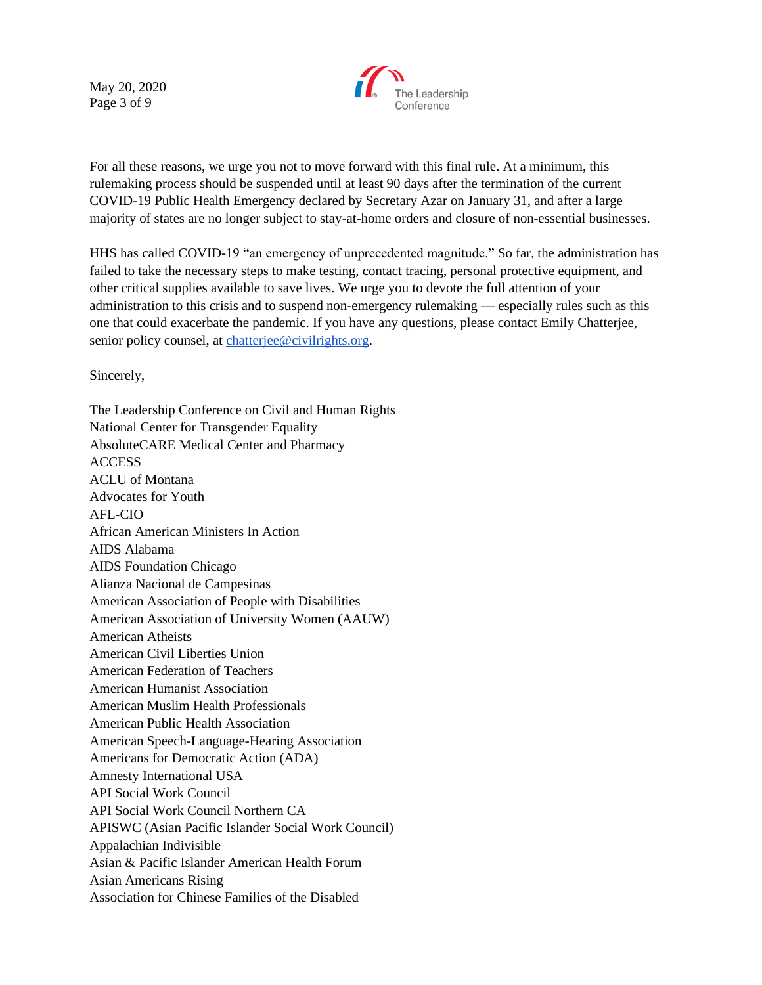May 20, 2020 Page 3 of 9



For all these reasons, we urge you not to move forward with this final rule. At a minimum, this rulemaking process should be suspended until at least 90 days after the termination of the current COVID-19 Public Health Emergency declared by Secretary Azar on January 31, and after a large majority of states are no longer subject to stay-at-home orders and closure of non-essential businesses.

HHS has called COVID-19 "an emergency of unprecedented magnitude." So far, the administration has failed to take the necessary steps to make testing, contact tracing, personal protective equipment, and other critical supplies available to save lives. We urge you to devote the full attention of your administration to this crisis and to suspend non-emergency rulemaking — especially rules such as this one that could exacerbate the pandemic. If you have any questions, please contact Emily Chatterjee, senior policy counsel, at [chatterjee@civilrights.org.](mailto:chatterjee@civilrights.org)

Sincerely,

The Leadership Conference on Civil and Human Rights National Center for Transgender Equality AbsoluteCARE Medical Center and Pharmacy **ACCESS** ACLU of Montana Advocates for Youth AFL-CIO African American Ministers In Action AIDS Alabama AIDS Foundation Chicago Alianza Nacional de Campesinas American Association of People with Disabilities American Association of University Women (AAUW) American Atheists American Civil Liberties Union American Federation of Teachers American Humanist Association American Muslim Health Professionals American Public Health Association American Speech-Language-Hearing Association Americans for Democratic Action (ADA) Amnesty International USA API Social Work Council API Social Work Council Northern CA APISWC (Asian Pacific Islander Social Work Council) Appalachian Indivisible Asian & Pacific Islander American Health Forum Asian Americans Rising Association for Chinese Families of the Disabled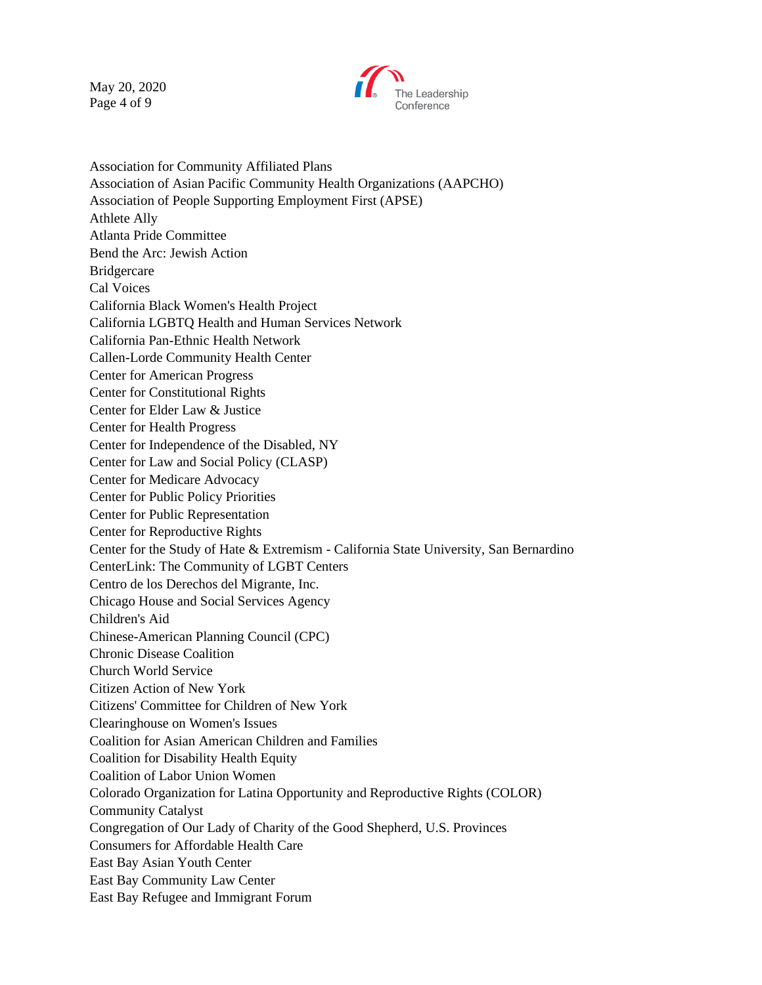May 20, 2020 Page 4 of 9



Association for Community Affiliated Plans Association of Asian Pacific Community Health Organizations (AAPCHO) Association of People Supporting Employment First (APSE) Athlete Ally Atlanta Pride Committee Bend the Arc: Jewish Action Bridgercare Cal Voices California Black Women's Health Project California LGBTQ Health and Human Services Network California Pan-Ethnic Health Network Callen-Lorde Community Health Center Center for American Progress Center for Constitutional Rights Center for Elder Law & Justice Center for Health Progress Center for Independence of the Disabled, NY Center for Law and Social Policy (CLASP) Center for Medicare Advocacy Center for Public Policy Priorities Center for Public Representation Center for Reproductive Rights Center for the Study of Hate & Extremism - California State University, San Bernardino CenterLink: The Community of LGBT Centers Centro de los Derechos del Migrante, Inc. Chicago House and Social Services Agency Children's Aid Chinese-American Planning Council (CPC) Chronic Disease Coalition Church World Service Citizen Action of New York Citizens' Committee for Children of New York Clearinghouse on Women's Issues Coalition for Asian American Children and Families Coalition for Disability Health Equity Coalition of Labor Union Women Colorado Organization for Latina Opportunity and Reproductive Rights (COLOR) Community Catalyst Congregation of Our Lady of Charity of the Good Shepherd, U.S. Provinces Consumers for Affordable Health Care East Bay Asian Youth Center East Bay Community Law Center East Bay Refugee and Immigrant Forum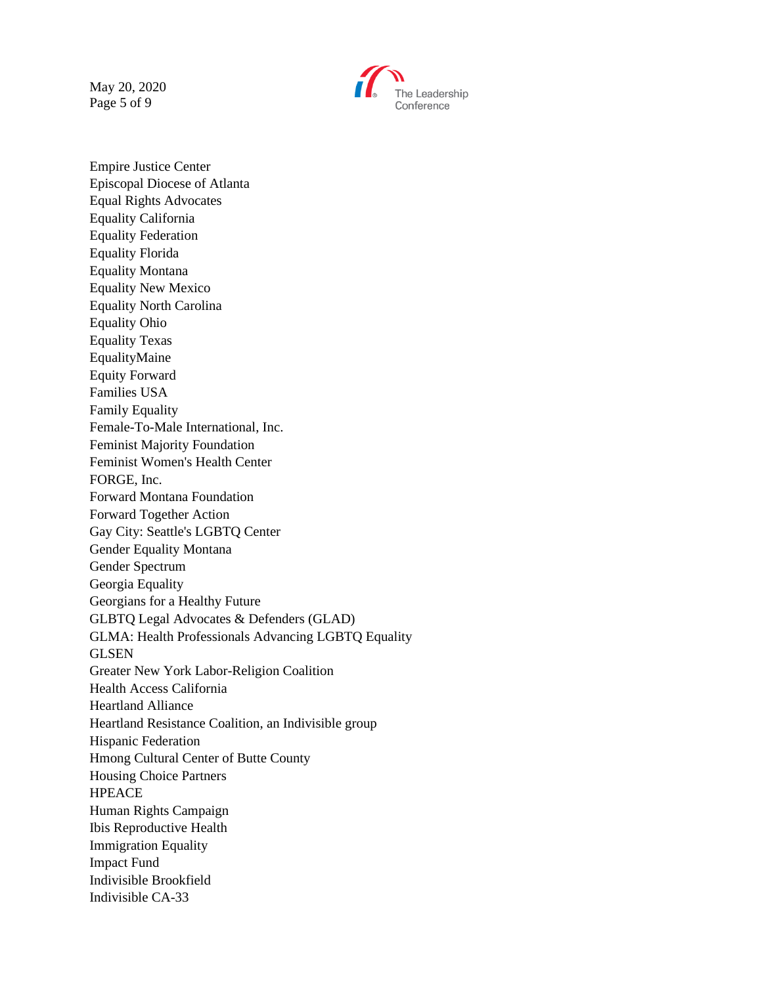May 20, 2020 Page 5 of 9



Empire Justice Center Episcopal Diocese of Atlanta Equal Rights Advocates Equality California Equality Federation Equality Florida Equality Montana Equality New Mexico Equality North Carolina Equality Ohio Equality Texas EqualityMaine Equity Forward Families USA Family Equality Female-To-Male International, Inc. Feminist Majority Foundation Feminist Women's Health Center FORGE, Inc. Forward Montana Foundation Forward Together Action Gay City: Seattle's LGBTQ Center Gender Equality Montana Gender Spectrum Georgia Equality Georgians for a Healthy Future GLBTQ Legal Advocates & Defenders (GLAD) GLMA: Health Professionals Advancing LGBTQ Equality GLSEN Greater New York Labor-Religion Coalition Health Access California Heartland Alliance Heartland Resistance Coalition, an Indivisible group Hispanic Federation Hmong Cultural Center of Butte County Housing Choice Partners HPEACE Human Rights Campaign Ibis Reproductive Health Immigration Equality Impact Fund Indivisible Brookfield Indivisible CA-33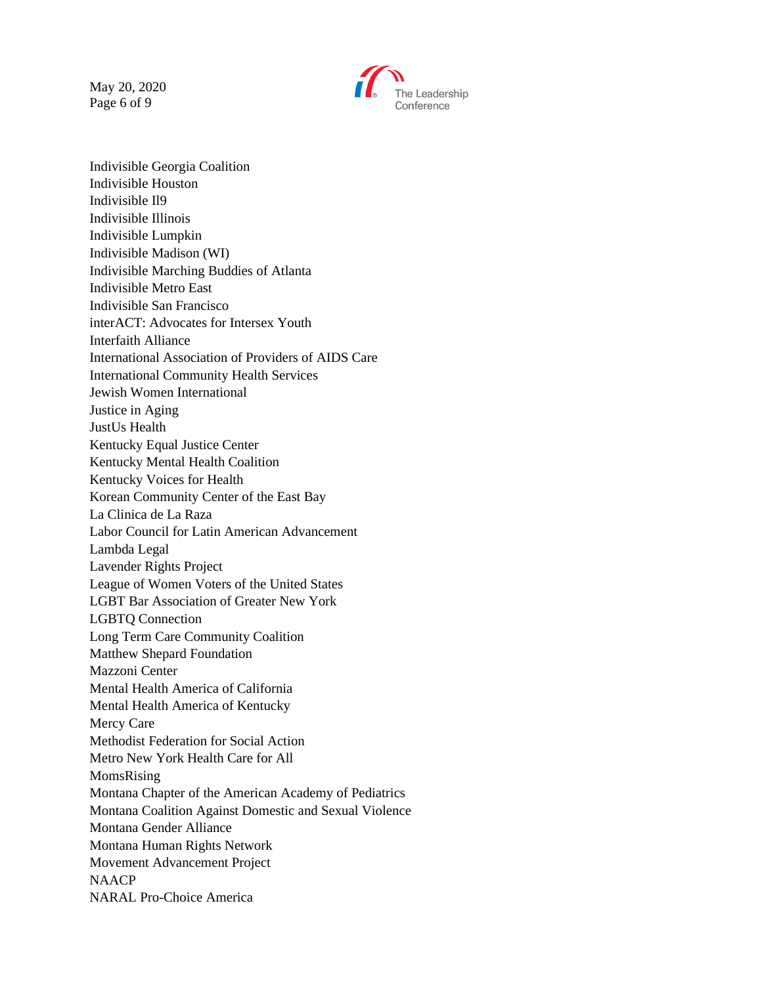May 20, 2020 Page 6 of 9



Indivisible Georgia Coalition Indivisible Houston Indivisible Il9 Indivisible Illinois Indivisible Lumpkin Indivisible Madison (WI) Indivisible Marching Buddies of Atlanta Indivisible Metro East Indivisible San Francisco interACT: Advocates for Intersex Youth Interfaith Alliance International Association of Providers of AIDS Care International Community Health Services Jewish Women International Justice in Aging JustUs Health Kentucky Equal Justice Center Kentucky Mental Health Coalition Kentucky Voices for Health Korean Community Center of the East Bay La Clinica de La Raza Labor Council for Latin American Advancement Lambda Legal Lavender Rights Project League of Women Voters of the United States LGBT Bar Association of Greater New York LGBTQ Connection Long Term Care Community Coalition Matthew Shepard Foundation Mazzoni Center Mental Health America of California Mental Health America of Kentucky Mercy Care Methodist Federation for Social Action Metro New York Health Care for All MomsRising Montana Chapter of the American Academy of Pediatrics Montana Coalition Against Domestic and Sexual Violence Montana Gender Alliance Montana Human Rights Network Movement Advancement Project **NAACP** NARAL Pro-Choice America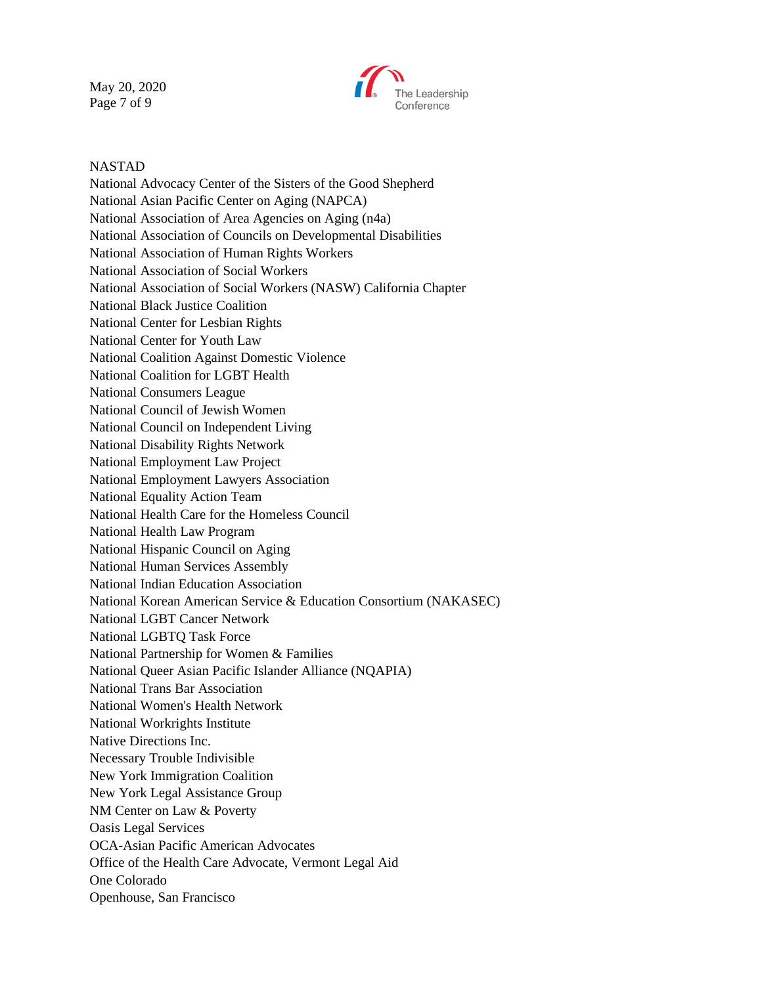May 20, 2020 Page 7 of 9



## NASTAD

National Advocacy Center of the Sisters of the Good Shepherd National Asian Pacific Center on Aging (NAPCA) National Association of Area Agencies on Aging (n4a) National Association of Councils on Developmental Disabilities National Association of Human Rights Workers National Association of Social Workers National Association of Social Workers (NASW) California Chapter National Black Justice Coalition National Center for Lesbian Rights National Center for Youth Law National Coalition Against Domestic Violence National Coalition for LGBT Health National Consumers League National Council of Jewish Women National Council on Independent Living National Disability Rights Network National Employment Law Project National Employment Lawyers Association National Equality Action Team National Health Care for the Homeless Council National Health Law Program National Hispanic Council on Aging National Human Services Assembly National Indian Education Association National Korean American Service & Education Consortium (NAKASEC) National LGBT Cancer Network National LGBTQ Task Force National Partnership for Women & Families National Queer Asian Pacific Islander Alliance (NQAPIA) National Trans Bar Association National Women's Health Network National Workrights Institute Native Directions Inc. Necessary Trouble Indivisible New York Immigration Coalition New York Legal Assistance Group NM Center on Law & Poverty Oasis Legal Services OCA-Asian Pacific American Advocates Office of the Health Care Advocate, Vermont Legal Aid One Colorado Openhouse, San Francisco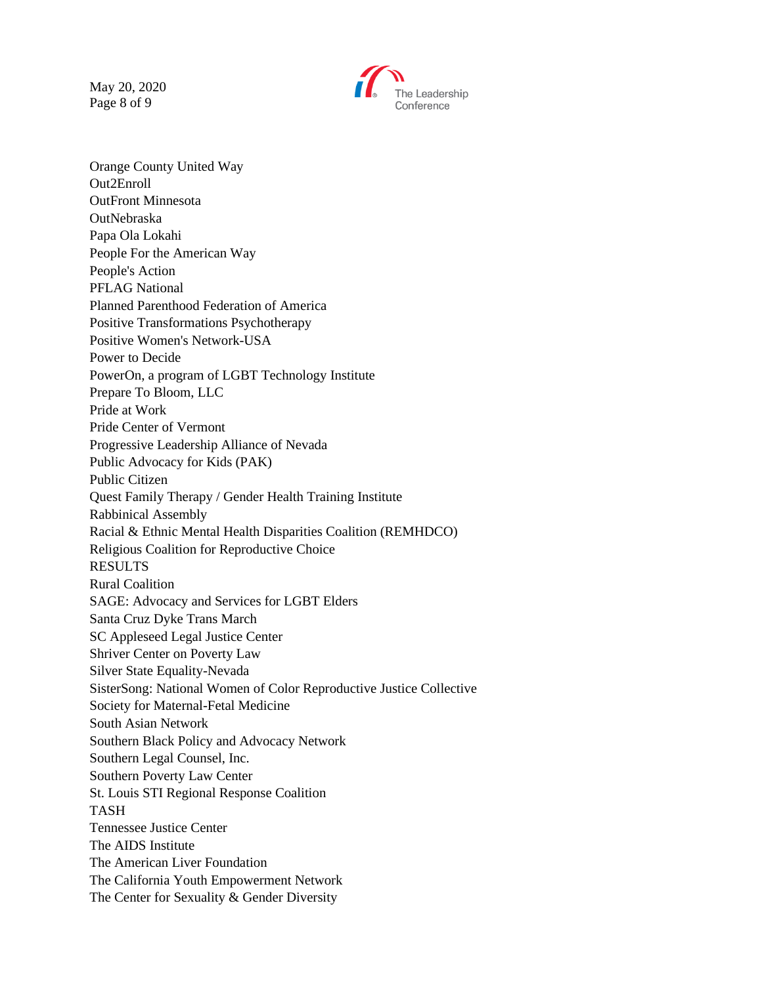May 20, 2020 Page 8 of 9



Orange County United Way Out2Enroll OutFront Minnesota **OutNebraska** Papa Ola Lokahi People For the American Way People's Action PFLAG National Planned Parenthood Federation of America Positive Transformations Psychotherapy Positive Women's Network-USA Power to Decide PowerOn, a program of LGBT Technology Institute Prepare To Bloom, LLC Pride at Work Pride Center of Vermont Progressive Leadership Alliance of Nevada Public Advocacy for Kids (PAK) Public Citizen Quest Family Therapy / Gender Health Training Institute Rabbinical Assembly Racial & Ethnic Mental Health Disparities Coalition (REMHDCO) Religious Coalition for Reproductive Choice RESULTS Rural Coalition SAGE: Advocacy and Services for LGBT Elders Santa Cruz Dyke Trans March SC Appleseed Legal Justice Center Shriver Center on Poverty Law Silver State Equality-Nevada SisterSong: National Women of Color Reproductive Justice Collective Society for Maternal-Fetal Medicine South Asian Network Southern Black Policy and Advocacy Network Southern Legal Counsel, Inc. Southern Poverty Law Center St. Louis STI Regional Response Coalition TASH Tennessee Justice Center The AIDS Institute The American Liver Foundation The California Youth Empowerment Network The Center for Sexuality & Gender Diversity